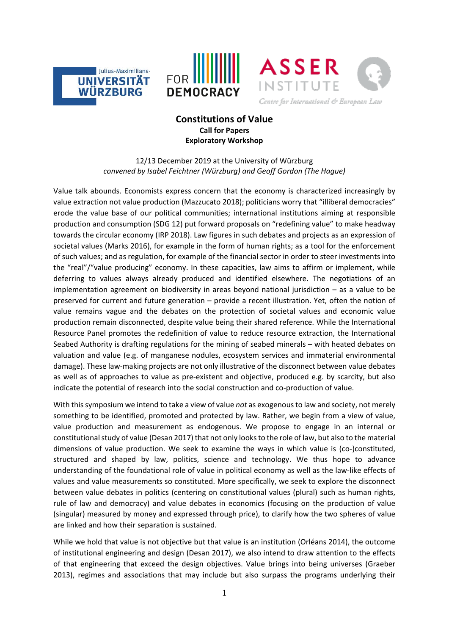





## **Constitutions of Value Call for Papers Exploratory Workshop**

12/13 December 2019 at the University of Würzburg *convened by Isabel Feichtner (Würzburg) and Geoff Gordon (The Hague)*

Value talk abounds. Economists express concern that the economy is characterized increasingly by value extraction not value production (Mazzucato 2018); politicians worry that "illiberal democracies" erode the value base of our political communities; international institutions aiming at responsible production and consumption (SDG 12) put forward proposals on "redefining value" to make headway towards the circular economy (IRP 2018). Law figures in such debates and projects as an expression of societal values (Marks 2016), for example in the form of human rights; as a tool for the enforcement of such values; and as regulation, for example of the financial sector in order to steer investments into the "real"/"value producing" economy. In these capacities, law aims to affirm or implement, while deferring to values always already produced and identified elsewhere. The negotiations of an implementation agreement on biodiversity in areas beyond national jurisdiction – as a value to be preserved for current and future generation – provide a recent illustration. Yet, often the notion of value remains vague and the debates on the protection of societal values and economic value production remain disconnected, despite value being their shared reference. While the International Resource Panel promotes the redefinition of value to reduce resource extraction, the International Seabed Authority is drafting regulations for the mining of seabed minerals – with heated debates on valuation and value (e.g. of manganese nodules, ecosystem services and immaterial environmental damage). These law-making projects are not only illustrative of the disconnect between value debates as well as of approaches to value as pre-existent and objective, produced e.g. by scarcity, but also indicate the potential of research into the social construction and co-production of value.

With this symposium we intend to take a view of value *not* as exogenousto law and society, not merely something to be identified, promoted and protected by law. Rather, we begin from a view of value, value production and measurement as endogenous. We propose to engage in an internal or constitutional study of value (Desan 2017) that not only looks to the role of law, but also to the material dimensions of value production. We seek to examine the ways in which value is (co-)constituted, structured and shaped by law, politics, science and technology. We thus hope to advance understanding of the foundational role of value in political economy as well as the law-like effects of values and value measurements so constituted. More specifically, we seek to explore the disconnect between value debates in politics (centering on constitutional values (plural) such as human rights, rule of law and democracy) and value debates in economics (focusing on the production of value (singular) measured by money and expressed through price), to clarify how the two spheres of value are linked and how their separation is sustained.

While we hold that value is not objective but that value is an institution (Orléans 2014), the outcome of institutional engineering and design (Desan 2017), we also intend to draw attention to the effects of that engineering that exceed the design objectives. Value brings into being universes (Graeber 2013), regimes and associations that may include but also surpass the programs underlying their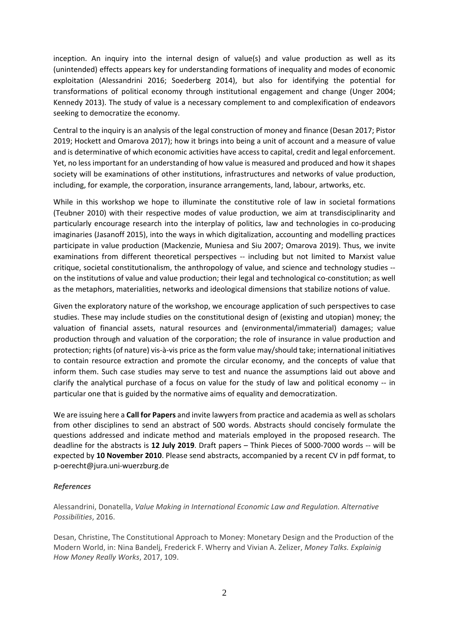inception. An inquiry into the internal design of value(s) and value production as well as its (unintended) effects appears key for understanding formations of inequality and modes of economic exploitation (Alessandrini 2016; Soederberg 2014), but also for identifying the potential for transformations of political economy through institutional engagement and change (Unger 2004; Kennedy 2013). The study of value is a necessary complement to and complexification of endeavors seeking to democratize the economy.

Central to the inquiry is an analysis of the legal construction of money and finance (Desan 2017; Pistor 2019; Hockett and Omarova 2017); how it brings into being a unit of account and a measure of value and is determinative of which economic activities have access to capital, credit and legal enforcement. Yet, no less important for an understanding of how value is measured and produced and how it shapes society will be examinations of other institutions, infrastructures and networks of value production, including, for example, the corporation, insurance arrangements, land, labour, artworks, etc.

While in this workshop we hope to illuminate the constitutive role of law in societal formations (Teubner 2010) with their respective modes of value production, we aim at transdisciplinarity and particularly encourage research into the interplay of politics, law and technologies in co-producing imaginaries (Jasanoff 2015), into the ways in which digitalization, accounting and modelling practices participate in value production (Mackenzie, Muniesa and Siu 2007; Omarova 2019). Thus, we invite examinations from different theoretical perspectives -- including but not limited to Marxist value critique, societal constitutionalism, the anthropology of value, and science and technology studies - on the institutions of value and value production; their legal and technological co-constitution; as well as the metaphors, materialities, networks and ideological dimensions that stabilize notions of value.

Given the exploratory nature of the workshop, we encourage application of such perspectives to case studies. These may include studies on the constitutional design of (existing and utopian) money; the valuation of financial assets, natural resources and (environmental/immaterial) damages; value production through and valuation of the corporation; the role of insurance in value production and protection; rights (of nature) vis-à-vis price as the form value may/should take; international initiatives to contain resource extraction and promote the circular economy, and the concepts of value that inform them. Such case studies may serve to test and nuance the assumptions laid out above and clarify the analytical purchase of a focus on value for the study of law and political economy -- in particular one that is guided by the normative aims of equality and democratization.

We are issuing here a **Call for Papers** and invite lawyers from practice and academia as well as scholars from other disciplines to send an abstract of 500 words. Abstracts should concisely formulate the questions addressed and indicate method and materials employed in the proposed research. The deadline for the abstracts is **12 July 2019**. Draft papers – Think Pieces of 5000-7000 words -- will be expected by **10 November 2010**. Please send abstracts, accompanied by a recent CV in pdf format, to p-oerecht@jura.uni-wuerzburg.de

## *References*

Alessandrini, Donatella, *Value Making in International Economic Law and Regulation. Alternative Possibilities*, 2016.

Desan, Christine, The Constitutional Approach to Money: Monetary Design and the Production of the Modern World, in: Nina Bandelj, Frederick F. Wherry and Vivian A. Zelizer, *Money Talks. Explainig How Money Really Works*, 2017, 109.